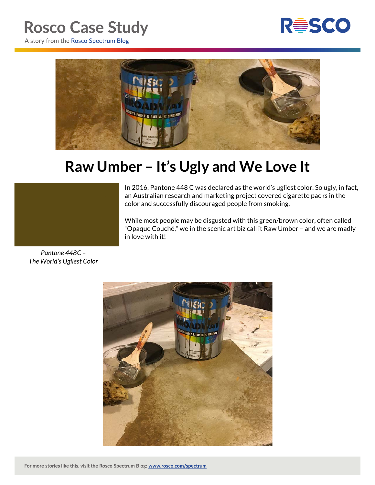## **Rosco Case Study**



A story from the Rosco Spectrum Blog



## **Raw Umber – It's Ugly and We Love It**



While most people may be disgusted with this green/brown color, often called "Opaque Couché," we in the scenic art biz call it Raw Umber – and we are madly in love with it!

*Pantone 448C – The World's Ugliest Color*

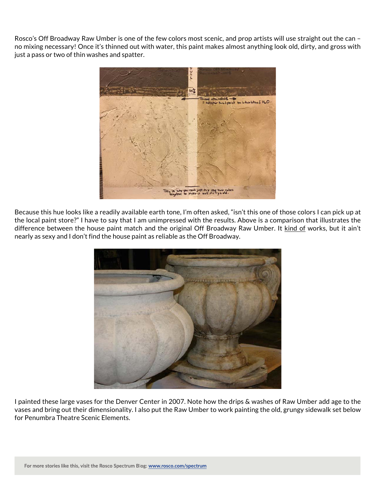Rosco's Off Broadway Raw Umber is one of the few colors most scenic, and prop artists will use straight out the can – no mixing necessary! Once it's thinned out with water, this paint makes almost anything look old, dirty, and gross with just a pass or two of thin washes and spatter.



Because this hue looks like a readily available earth tone, I'm often asked, "isn't this one of those colors I can pick up at the local paint store?" I have to say that I am unimpressed with the results. Above is a comparison that illustrates the difference between the house paint match and the original Off Broadway Raw Umber. It kind of works, but it ain't nearly as sexy and I don't find the house paint as reliable as the Off Broadway.



I painted these large vases for the Denver Center in 2007. Note how the drips & washes of Raw Umber add age to the vases and bring out their dimensionality. I also put the Raw Umber to work painting the old, grungy sidewalk set below for Penumbra Theatre Scenic Elements.